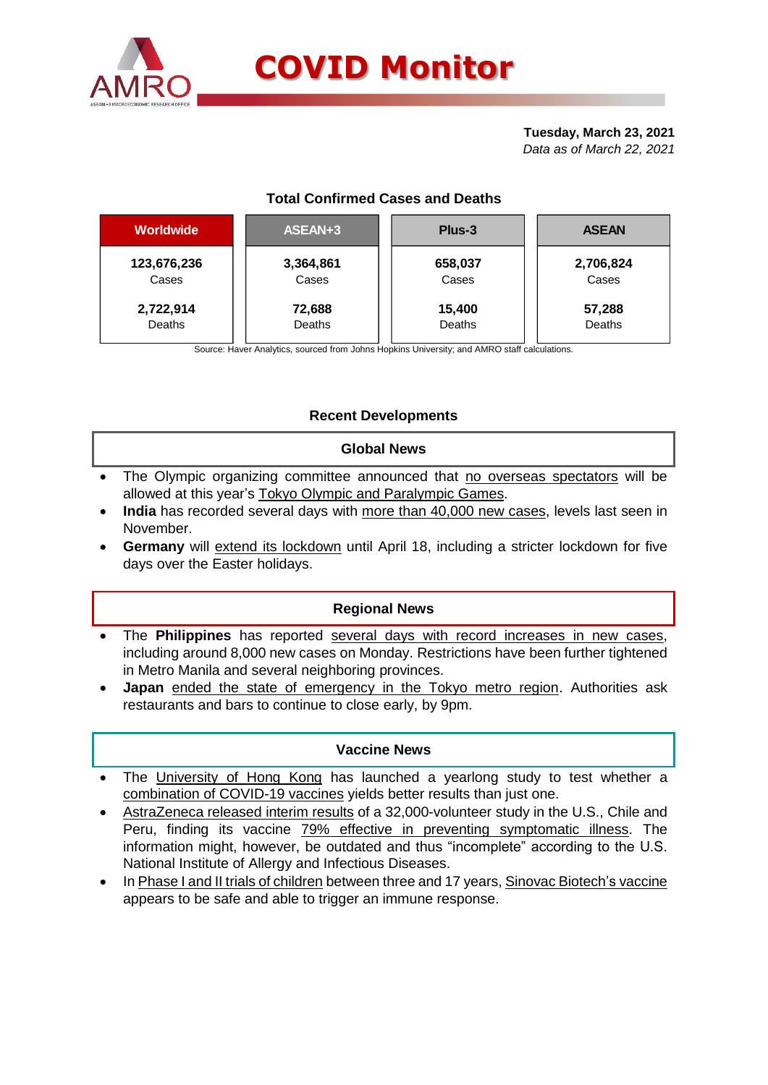

#### **Tuesday, March 23, 2021** *Data as of March 22, 2021*

## **Total Confirmed Cases and Deaths**

| Worldwide   | ASEAN+3   | Plus-3  | <b>ASEAN</b> |  |  |
|-------------|-----------|---------|--------------|--|--|
| 123,676,236 | 3,364,861 | 658,037 | 2,706,824    |  |  |
| Cases       | Cases     | Cases   | Cases        |  |  |
| 2,722,914   | 72,688    | 15,400  | 57,288       |  |  |
| Deaths      | Deaths    | Deaths  | Deaths       |  |  |

Source: Haver Analytics, sourced from Johns Hopkins University; and AMRO staff calculations.

## **Recent Developments**

### **Global News**

- The Olympic organizing committee announced that no overseas spectators will be allowed at this year's Tokyo Olympic and Paralympic Games.
- **India** has recorded several days with more than 40,000 new cases, levels last seen in November.
- **Germany** will extend its lockdown until April 18, including a stricter lockdown for five days over the Easter holidays.

### **Regional News**

- The **Philippines** has reported several days with record increases in new cases, including around 8,000 new cases on Monday. Restrictions have been further tightened in Metro Manila and several neighboring provinces.
- **Japan** ended the state of emergency in the Tokyo metro region. Authorities ask restaurants and bars to continue to close early, by 9pm.

### **Vaccine News**

- The University of Hong Kong has launched a yearlong study to test whether a combination of COVID-19 vaccines yields better results than just one.
- AstraZeneca released interim results of a 32,000-volunteer study in the U.S., Chile and Peru, finding its vaccine 79% effective in preventing symptomatic illness. The information might, however, be outdated and thus "incomplete" according to the U.S. National Institute of Allergy and Infectious Diseases.
- In Phase I and II trials of children between three and 17 years, Sinovac Biotech's vaccine appears to be safe and able to trigger an immune response.